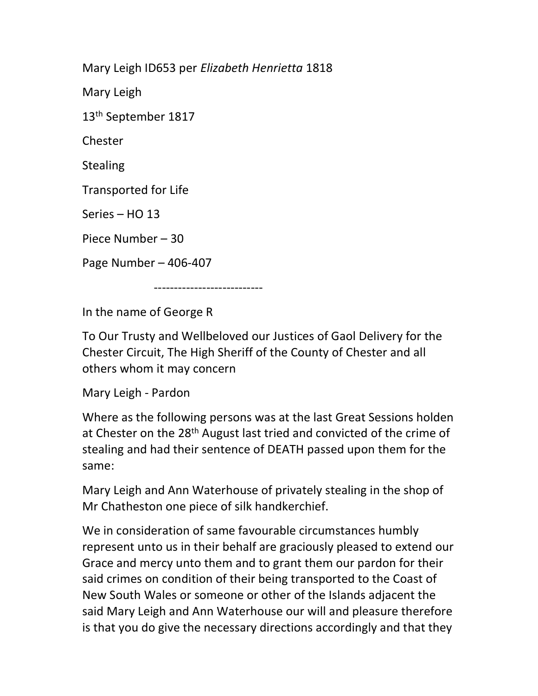Mary Leigh ID653 per Elizabeth Henrietta 1818

Mary Leigh

13<sup>th</sup> September 1817

Chester

**Stealing** 

Transported for Life

Series – HO 13

Piece Number – 30

Page Number – 406-407

---------------------------

In the name of George R

To Our Trusty and Wellbeloved our Justices of Gaol Delivery for the Chester Circuit, The High Sheriff of the County of Chester and all others whom it may concern

Mary Leigh - Pardon

Where as the following persons was at the last Great Sessions holden at Chester on the 28<sup>th</sup> August last tried and convicted of the crime of stealing and had their sentence of DEATH passed upon them for the same:

Mary Leigh and Ann Waterhouse of privately stealing in the shop of Mr Chatheston one piece of silk handkerchief.

We in consideration of same favourable circumstances humbly represent unto us in their behalf are graciously pleased to extend our Grace and mercy unto them and to grant them our pardon for their said crimes on condition of their being transported to the Coast of New South Wales or someone or other of the Islands adjacent the said Mary Leigh and Ann Waterhouse our will and pleasure therefore is that you do give the necessary directions accordingly and that they